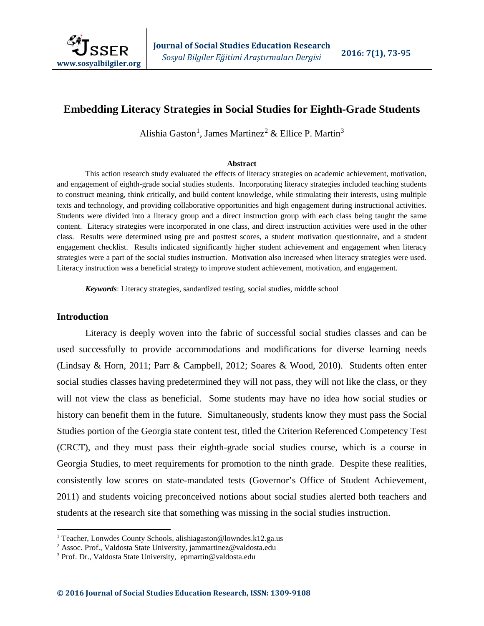

# **Embedding Literacy Strategies in Social Studies for Eighth-Grade Students**

Alishia Gaston<sup>[1](#page-0-0)</sup>, James Martinez<sup>[2](#page-0-1)</sup> & Ellice P. Martin<sup>[3](#page-0-2)</sup>

#### **Abstract**

This action research study evaluated the effects of literacy strategies on academic achievement, motivation, and engagement of eighth-grade social studies students. Incorporating literacy strategies included teaching students to construct meaning, think critically, and build content knowledge, while stimulating their interests, using multiple texts and technology, and providing collaborative opportunities and high engagement during instructional activities. Students were divided into a literacy group and a direct instruction group with each class being taught the same content. Literacy strategies were incorporated in one class, and direct instruction activities were used in the other class. Results were determined using pre and posttest scores, a student motivation questionnaire, and a student engagement checklist. Results indicated significantly higher student achievement and engagement when literacy strategies were a part of the social studies instruction. Motivation also increased when literacy strategies were used. Literacy instruction was a beneficial strategy to improve student achievement, motivation, and engagement.

*Keywords*: Literacy strategies, sandardized testing, social studies, middle school

#### **Introduction**

l

Literacy is deeply woven into the fabric of successful social studies classes and can be used successfully to provide accommodations and modifications for diverse learning needs (Lindsay & Horn, 2011; Parr & Campbell, 2012; Soares & Wood, 2010). Students often enter social studies classes having predetermined they will not pass, they will not like the class, or they will not view the class as beneficial. Some students may have no idea how social studies or history can benefit them in the future. Simultaneously, students know they must pass the Social Studies portion of the Georgia state content test, titled the Criterion Referenced Competency Test (CRCT), and they must pass their eighth-grade social studies course, which is a course in Georgia Studies, to meet requirements for promotion to the ninth grade. Despite these realities, consistently low scores on state-mandated tests (Governor's Office of Student Achievement, 2011) and students voicing preconceived notions about social studies alerted both teachers and students at the research site that something was missing in the social studies instruction.

<span id="page-0-0"></span><sup>&</sup>lt;sup>1</sup> Teacher, Lonwdes County Schools, alishiagaston@lowndes.k12.ga.us

<span id="page-0-1"></span><sup>2</sup> Assoc. Prof., Valdosta State University, jammartinez@valdosta.edu

<span id="page-0-2"></span><sup>3</sup> Prof. Dr., Valdosta State University, epmartin@valdosta.edu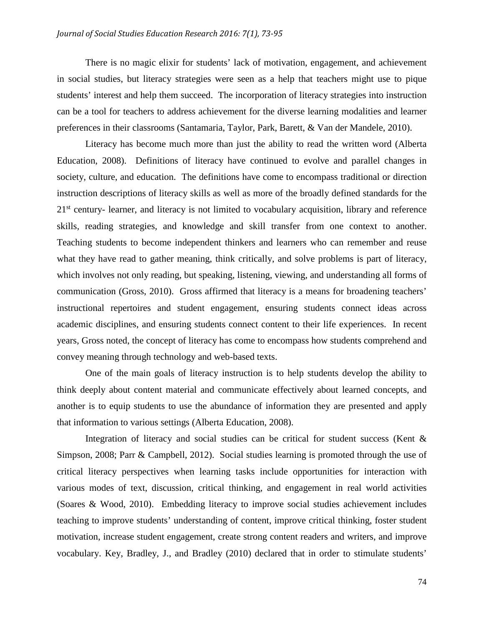There is no magic elixir for students' lack of motivation, engagement, and achievement in social studies, but literacy strategies were seen as a help that teachers might use to pique students' interest and help them succeed. The incorporation of literacy strategies into instruction can be a tool for teachers to address achievement for the diverse learning modalities and learner preferences in their classrooms (Santamaria, Taylor, Park, Barett, & Van der Mandele, 2010).

Literacy has become much more than just the ability to read the written word (Alberta Education, 2008). Definitions of literacy have continued to evolve and parallel changes in society, culture, and education. The definitions have come to encompass traditional or direction instruction descriptions of literacy skills as well as more of the broadly defined standards for the 21<sup>st</sup> century- learner, and literacy is not limited to vocabulary acquisition, library and reference skills, reading strategies, and knowledge and skill transfer from one context to another. Teaching students to become independent thinkers and learners who can remember and reuse what they have read to gather meaning, think critically, and solve problems is part of literacy, which involves not only reading, but speaking, listening, viewing, and understanding all forms of communication (Gross, 2010). Gross affirmed that literacy is a means for broadening teachers' instructional repertoires and student engagement, ensuring students connect ideas across academic disciplines, and ensuring students connect content to their life experiences. In recent years, Gross noted, the concept of literacy has come to encompass how students comprehend and convey meaning through technology and web-based texts.

One of the main goals of literacy instruction is to help students develop the ability to think deeply about content material and communicate effectively about learned concepts, and another is to equip students to use the abundance of information they are presented and apply that information to various settings (Alberta Education, 2008).

Integration of literacy and social studies can be critical for student success (Kent  $\&$ Simpson, 2008; Parr & Campbell, 2012). Social studies learning is promoted through the use of critical literacy perspectives when learning tasks include opportunities for interaction with various modes of text, discussion, critical thinking, and engagement in real world activities (Soares & Wood, 2010). Embedding literacy to improve social studies achievement includes teaching to improve students' understanding of content, improve critical thinking, foster student motivation, increase student engagement, create strong content readers and writers, and improve vocabulary. Key, Bradley, J., and Bradley (2010) declared that in order to stimulate students'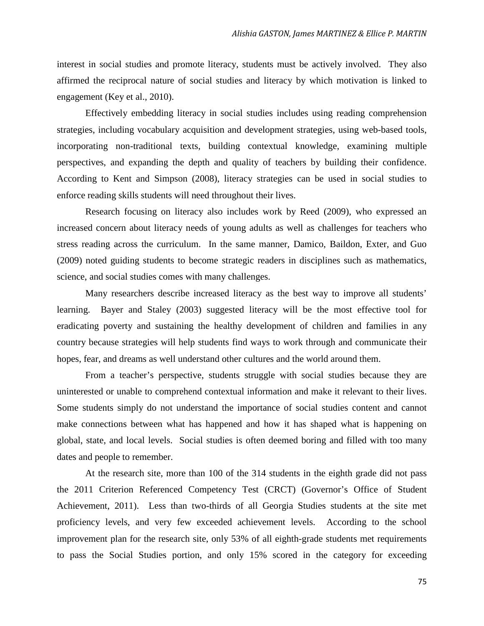interest in social studies and promote literacy, students must be actively involved. They also affirmed the reciprocal nature of social studies and literacy by which motivation is linked to engagement (Key et al., 2010).

Effectively embedding literacy in social studies includes using reading comprehension strategies, including vocabulary acquisition and development strategies, using web-based tools, incorporating non-traditional texts, building contextual knowledge, examining multiple perspectives, and expanding the depth and quality of teachers by building their confidence. According to Kent and Simpson (2008), literacy strategies can be used in social studies to enforce reading skills students will need throughout their lives.

Research focusing on literacy also includes work by Reed (2009), who expressed an increased concern about literacy needs of young adults as well as challenges for teachers who stress reading across the curriculum. In the same manner, Damico, Baildon, Exter, and Guo (2009) noted guiding students to become strategic readers in disciplines such as mathematics, science, and social studies comes with many challenges.

Many researchers describe increased literacy as the best way to improve all students' learning. Bayer and Staley (2003) suggested literacy will be the most effective tool for eradicating poverty and sustaining the healthy development of children and families in any country because strategies will help students find ways to work through and communicate their hopes, fear, and dreams as well understand other cultures and the world around them.

From a teacher's perspective, students struggle with social studies because they are uninterested or unable to comprehend contextual information and make it relevant to their lives. Some students simply do not understand the importance of social studies content and cannot make connections between what has happened and how it has shaped what is happening on global, state, and local levels. Social studies is often deemed boring and filled with too many dates and people to remember.

At the research site, more than 100 of the 314 students in the eighth grade did not pass the 2011 Criterion Referenced Competency Test (CRCT) (Governor's Office of Student Achievement, 2011). Less than two-thirds of all Georgia Studies students at the site met proficiency levels, and very few exceeded achievement levels. According to the school improvement plan for the research site, only 53% of all eighth-grade students met requirements to pass the Social Studies portion, and only 15% scored in the category for exceeding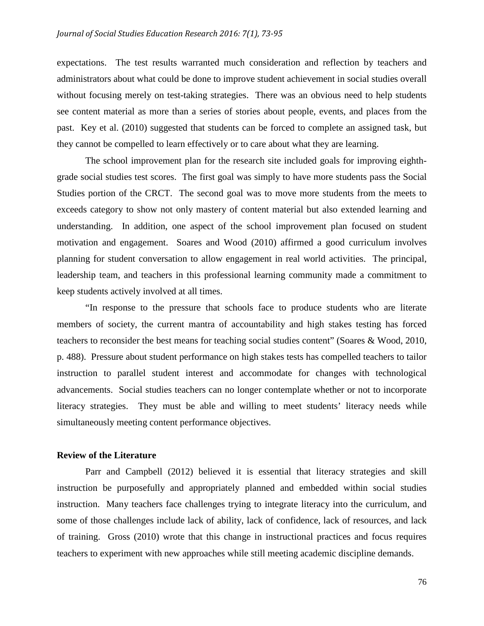expectations. The test results warranted much consideration and reflection by teachers and administrators about what could be done to improve student achievement in social studies overall without focusing merely on test-taking strategies. There was an obvious need to help students see content material as more than a series of stories about people, events, and places from the past. Key et al. (2010) suggested that students can be forced to complete an assigned task, but they cannot be compelled to learn effectively or to care about what they are learning.

The school improvement plan for the research site included goals for improving eighthgrade social studies test scores. The first goal was simply to have more students pass the Social Studies portion of the CRCT. The second goal was to move more students from the meets to exceeds category to show not only mastery of content material but also extended learning and understanding. In addition, one aspect of the school improvement plan focused on student motivation and engagement. Soares and Wood (2010) affirmed a good curriculum involves planning for student conversation to allow engagement in real world activities. The principal, leadership team, and teachers in this professional learning community made a commitment to keep students actively involved at all times.

"In response to the pressure that schools face to produce students who are literate members of society, the current mantra of accountability and high stakes testing has forced teachers to reconsider the best means for teaching social studies content" (Soares & Wood, 2010, p. 488). Pressure about student performance on high stakes tests has compelled teachers to tailor instruction to parallel student interest and accommodate for changes with technological advancements. Social studies teachers can no longer contemplate whether or not to incorporate literacy strategies. They must be able and willing to meet students' literacy needs while simultaneously meeting content performance objectives.

#### **Review of the Literature**

Parr and Campbell (2012) believed it is essential that literacy strategies and skill instruction be purposefully and appropriately planned and embedded within social studies instruction. Many teachers face challenges trying to integrate literacy into the curriculum, and some of those challenges include lack of ability, lack of confidence, lack of resources, and lack of training. Gross (2010) wrote that this change in instructional practices and focus requires teachers to experiment with new approaches while still meeting academic discipline demands.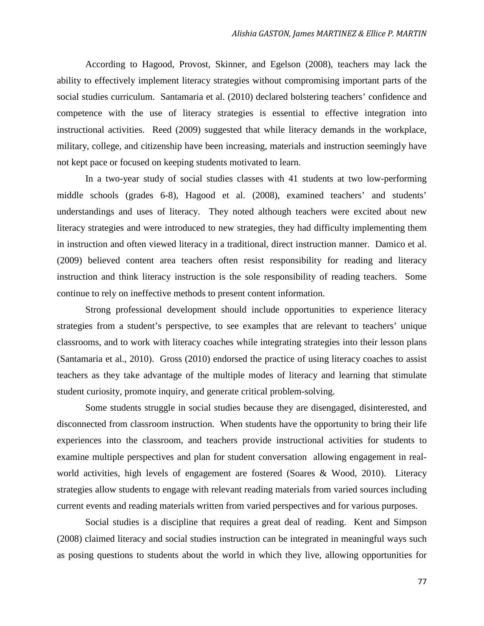According to Hagood, Provost, Skinner, and Egelson (2008), teachers may lack the ability to effectively implement literacy strategies without compromising important parts of the social studies curriculum. Santamaria et al. (2010) declared bolstering teachers' confidence and competence with the use of literacy strategies is essential to effective integration into instructional activities. Reed (2009) suggested that while literacy demands in the workplace, military, college, and citizenship have been increasing, materials and instruction seemingly have not kept pace or focused on keeping students motivated to learn.

In a two-year study of social studies classes with 41 students at two low-performing middle schools (grades 6-8), Hagood et al. (2008), examined teachers' and students' understandings and uses of literacy. They noted although teachers were excited about new literacy strategies and were introduced to new strategies, they had difficulty implementing them in instruction and often viewed literacy in a traditional, direct instruction manner. Damico et al. (2009) believed content area teachers often resist responsibility for reading and literacy instruction and think literacy instruction is the sole responsibility of reading teachers. Some continue to rely on ineffective methods to present content information.

Strong professional development should include opportunities to experience literacy strategies from a student's perspective, to see examples that are relevant to teachers' unique classrooms, and to work with literacy coaches while integrating strategies into their lesson plans (Santamaria et al., 2010). Gross (2010) endorsed the practice of using literacy coaches to assist teachers as they take advantage of the multiple modes of literacy and learning that stimulate student curiosity, promote inquiry, and generate critical problem-solving.

Some students struggle in social studies because they are disengaged, disinterested, and disconnected from classroom instruction. When students have the opportunity to bring their life experiences into the classroom, and teachers provide instructional activities for students to examine multiple perspectives and plan for student conversation allowing engagement in realworld activities, high levels of engagement are fostered (Soares & Wood, 2010). Literacy strategies allow students to engage with relevant reading materials from varied sources including current events and reading materials written from varied perspectives and for various purposes.

Social studies is a discipline that requires a great deal of reading. Kent and Simpson (2008) claimed literacy and social studies instruction can be integrated in meaningful ways such as posing questions to students about the world in which they live, allowing opportunities for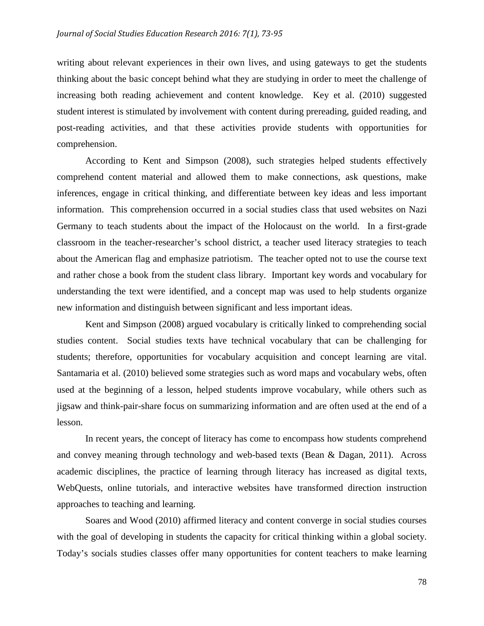writing about relevant experiences in their own lives, and using gateways to get the students thinking about the basic concept behind what they are studying in order to meet the challenge of increasing both reading achievement and content knowledge. Key et al. (2010) suggested student interest is stimulated by involvement with content during prereading, guided reading, and post-reading activities, and that these activities provide students with opportunities for comprehension.

According to Kent and Simpson (2008), such strategies helped students effectively comprehend content material and allowed them to make connections, ask questions, make inferences, engage in critical thinking, and differentiate between key ideas and less important information. This comprehension occurred in a social studies class that used websites on Nazi Germany to teach students about the impact of the Holocaust on the world. In a first-grade classroom in the teacher-researcher's school district, a teacher used literacy strategies to teach about the American flag and emphasize patriotism. The teacher opted not to use the course text and rather chose a book from the student class library. Important key words and vocabulary for understanding the text were identified, and a concept map was used to help students organize new information and distinguish between significant and less important ideas.

Kent and Simpson (2008) argued vocabulary is critically linked to comprehending social studies content. Social studies texts have technical vocabulary that can be challenging for students; therefore, opportunities for vocabulary acquisition and concept learning are vital. Santamaria et al. (2010) believed some strategies such as word maps and vocabulary webs, often used at the beginning of a lesson, helped students improve vocabulary, while others such as jigsaw and think-pair-share focus on summarizing information and are often used at the end of a lesson.

In recent years, the concept of literacy has come to encompass how students comprehend and convey meaning through technology and web-based texts (Bean & Dagan, 2011). Across academic disciplines, the practice of learning through literacy has increased as digital texts, WebQuests, online tutorials, and interactive websites have transformed direction instruction approaches to teaching and learning.

Soares and Wood (2010) affirmed literacy and content converge in social studies courses with the goal of developing in students the capacity for critical thinking within a global society. Today's socials studies classes offer many opportunities for content teachers to make learning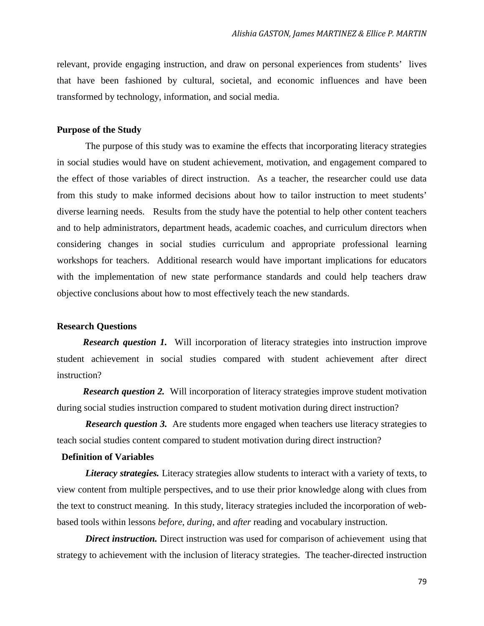relevant, provide engaging instruction, and draw on personal experiences from students' lives that have been fashioned by cultural, societal, and economic influences and have been transformed by technology, information, and social media.

#### **Purpose of the Study**

The purpose of this study was to examine the effects that incorporating literacy strategies in social studies would have on student achievement, motivation, and engagement compared to the effect of those variables of direct instruction. As a teacher, the researcher could use data from this study to make informed decisions about how to tailor instruction to meet students' diverse learning needs. Results from the study have the potential to help other content teachers and to help administrators, department heads, academic coaches, and curriculum directors when considering changes in social studies curriculum and appropriate professional learning workshops for teachers. Additional research would have important implications for educators with the implementation of new state performance standards and could help teachers draw objective conclusions about how to most effectively teach the new standards.

#### **Research Questions**

*Research question 1.* Will incorporation of literacy strategies into instruction improve student achievement in social studies compared with student achievement after direct instruction?

*Research question 2.* Will incorporation of literacy strategies improve student motivation during social studies instruction compared to student motivation during direct instruction?

**Research question 3.** Are students more engaged when teachers use literacy strategies to teach social studies content compared to student motivation during direct instruction?

### **Definition of Variables**

*Literacy strategies.* Literacy strategies allow students to interact with a variety of texts, to view content from multiple perspectives, and to use their prior knowledge along with clues from the text to construct meaning. In this study, literacy strategies included the incorporation of webbased tools within lessons *before*, *during*, and *after* reading and vocabulary instruction.

*Direct instruction.* Direct instruction was used for comparison of achievement using that strategy to achievement with the inclusion of literacy strategies. The teacher-directed instruction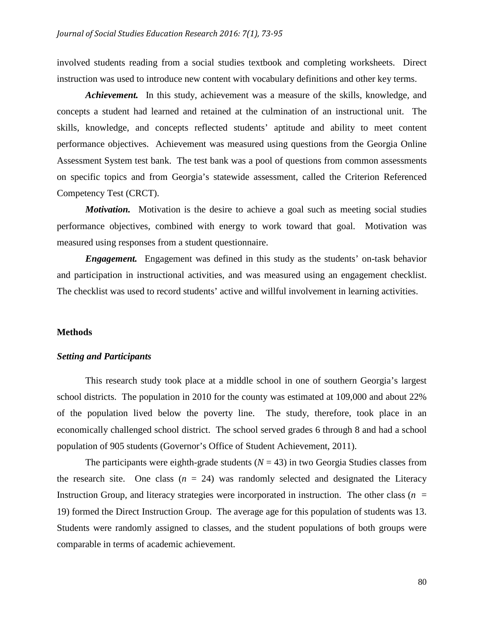involved students reading from a social studies textbook and completing worksheets. Direct instruction was used to introduce new content with vocabulary definitions and other key terms.

*Achievement.*In this study, achievement was a measure of the skills, knowledge, and concepts a student had learned and retained at the culmination of an instructional unit. The skills, knowledge, and concepts reflected students' aptitude and ability to meet content performance objectives. Achievement was measured using questions from the Georgia Online Assessment System test bank. The test bank was a pool of questions from common assessments on specific topics and from Georgia's statewide assessment, called the Criterion Referenced Competency Test (CRCT).

*Motivation.* Motivation is the desire to achieve a goal such as meeting social studies performance objectives, combined with energy to work toward that goal. Motivation was measured using responses from a student questionnaire.

*Engagement.* Engagement was defined in this study as the students' on-task behavior and participation in instructional activities, and was measured using an engagement checklist. The checklist was used to record students' active and willful involvement in learning activities.

#### **Methods**

#### *Setting and Participants*

This research study took place at a middle school in one of southern Georgia's largest school districts. The population in 2010 for the county was estimated at 109,000 and about 22% of the population lived below the poverty line. The study, therefore, took place in an economically challenged school district. The school served grades 6 through 8 and had a school population of 905 students (Governor's Office of Student Achievement, 2011).

The participants were eighth-grade students  $(N = 43)$  in two Georgia Studies classes from the research site. One class  $(n = 24)$  was randomly selected and designated the Literacy Instruction Group, and literacy strategies were incorporated in instruction. The other class  $(n =$ 19) formed the Direct Instruction Group. The average age for this population of students was 13. Students were randomly assigned to classes, and the student populations of both groups were comparable in terms of academic achievement.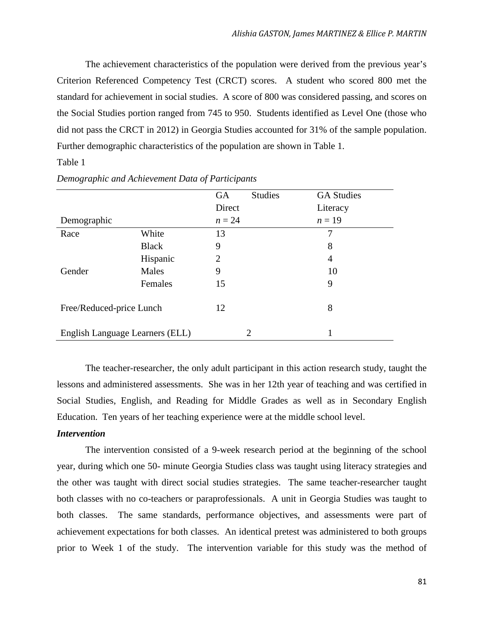The achievement characteristics of the population were derived from the previous year's Criterion Referenced Competency Test (CRCT) scores. A student who scored 800 met the standard for achievement in social studies. A score of 800 was considered passing, and scores on the Social Studies portion ranged from 745 to 950. Students identified as Level One (those who did not pass the CRCT in 2012) in Georgia Studies accounted for 31% of the sample population. Further demographic characteristics of the population are shown in Table 1.

### Table 1

|                                 |              | <b>GA</b> | <b>Studies</b> | <b>GA Studies</b> |
|---------------------------------|--------------|-----------|----------------|-------------------|
|                                 |              | Direct    |                | Literacy          |
| Demographic                     |              | $n = 24$  |                | $n=19$            |
| Race                            | White        | 13        |                |                   |
|                                 | <b>Black</b> | 9         |                | 8                 |
|                                 | Hispanic     | 2         |                | 4                 |
| Gender                          | Males        | 9         |                | 10                |
|                                 | Females      | 15        |                | 9                 |
| Free/Reduced-price Lunch        |              | 12        |                | 8                 |
| English Language Learners (ELL) |              |           | $\overline{2}$ |                   |

### *Demographic and Achievement Data of Participants*

The teacher-researcher, the only adult participant in this action research study, taught the lessons and administered assessments. She was in her 12th year of teaching and was certified in Social Studies, English, and Reading for Middle Grades as well as in Secondary English Education. Ten years of her teaching experience were at the middle school level.

#### *Intervention*

The intervention consisted of a 9-week research period at the beginning of the school year, during which one 50- minute Georgia Studies class was taught using literacy strategies and the other was taught with direct social studies strategies. The same teacher-researcher taught both classes with no co-teachers or paraprofessionals. A unit in Georgia Studies was taught to both classes. The same standards, performance objectives, and assessments were part of achievement expectations for both classes. An identical pretest was administered to both groups prior to Week 1 of the study. The intervention variable for this study was the method of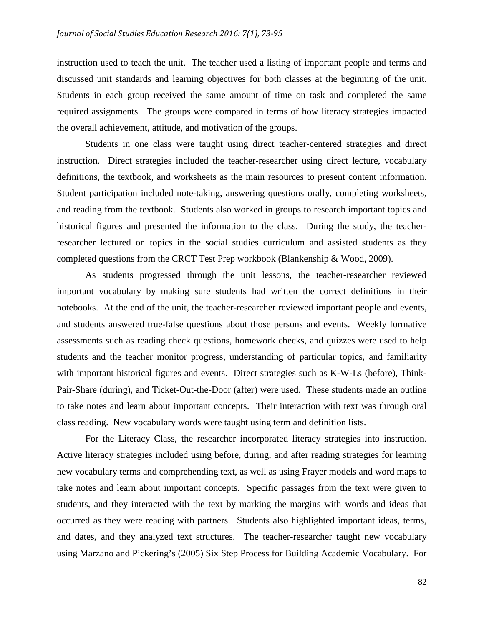instruction used to teach the unit. The teacher used a listing of important people and terms and discussed unit standards and learning objectives for both classes at the beginning of the unit. Students in each group received the same amount of time on task and completed the same required assignments. The groups were compared in terms of how literacy strategies impacted the overall achievement, attitude, and motivation of the groups.

Students in one class were taught using direct teacher-centered strategies and direct instruction. Direct strategies included the teacher-researcher using direct lecture, vocabulary definitions, the textbook, and worksheets as the main resources to present content information. Student participation included note-taking, answering questions orally, completing worksheets, and reading from the textbook. Students also worked in groups to research important topics and historical figures and presented the information to the class. During the study, the teacherresearcher lectured on topics in the social studies curriculum and assisted students as they completed questions from the CRCT Test Prep workbook (Blankenship & Wood, 2009).

As students progressed through the unit lessons, the teacher-researcher reviewed important vocabulary by making sure students had written the correct definitions in their notebooks. At the end of the unit, the teacher-researcher reviewed important people and events, and students answered true-false questions about those persons and events. Weekly formative assessments such as reading check questions, homework checks, and quizzes were used to help students and the teacher monitor progress, understanding of particular topics, and familiarity with important historical figures and events. Direct strategies such as K-W-Ls (before), Think-Pair-Share (during), and Ticket-Out-the-Door (after) were used. These students made an outline to take notes and learn about important concepts. Their interaction with text was through oral class reading. New vocabulary words were taught using term and definition lists.

For the Literacy Class, the researcher incorporated literacy strategies into instruction. Active literacy strategies included using before, during, and after reading strategies for learning new vocabulary terms and comprehending text, as well as using Frayer models and word maps to take notes and learn about important concepts. Specific passages from the text were given to students, and they interacted with the text by marking the margins with words and ideas that occurred as they were reading with partners. Students also highlighted important ideas, terms, and dates, and they analyzed text structures. The teacher-researcher taught new vocabulary using Marzano and Pickering's (2005) Six Step Process for Building Academic Vocabulary. For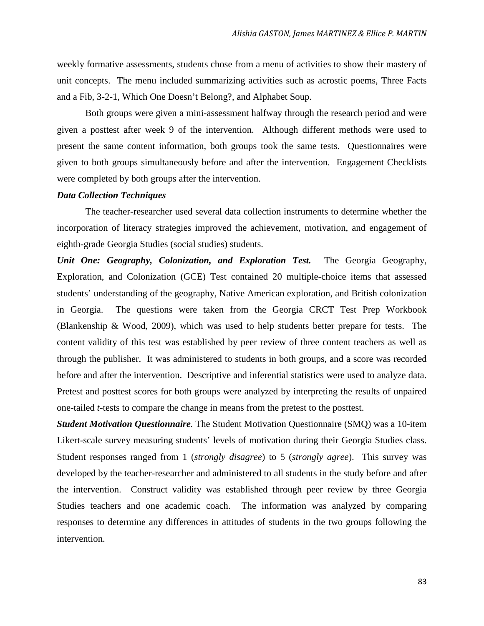weekly formative assessments, students chose from a menu of activities to show their mastery of unit concepts. The menu included summarizing activities such as acrostic poems, Three Facts and a Fib, 3-2-1, Which One Doesn't Belong?, and Alphabet Soup.

Both groups were given a mini-assessment halfway through the research period and were given a posttest after week 9 of the intervention. Although different methods were used to present the same content information, both groups took the same tests. Questionnaires were given to both groups simultaneously before and after the intervention. Engagement Checklists were completed by both groups after the intervention.

### *Data Collection Techniques*

The teacher-researcher used several data collection instruments to determine whether the incorporation of literacy strategies improved the achievement, motivation, and engagement of eighth-grade Georgia Studies (social studies) students.

*Unit One: Geography, Colonization, and Exploration Test.* The Georgia Geography, Exploration, and Colonization (GCE) Test contained 20 multiple-choice items that assessed students' understanding of the geography, Native American exploration, and British colonization in Georgia. The questions were taken from the Georgia CRCT Test Prep Workbook (Blankenship & Wood, 2009), which was used to help students better prepare for tests. The content validity of this test was established by peer review of three content teachers as well as through the publisher. It was administered to students in both groups, and a score was recorded before and after the intervention. Descriptive and inferential statistics were used to analyze data. Pretest and posttest scores for both groups were analyzed by interpreting the results of unpaired one-tailed *t*-tests to compare the change in means from the pretest to the posttest.

*Student Motivation Questionnaire.* The Student Motivation Questionnaire (SMQ) was a 10-item Likert-scale survey measuring students' levels of motivation during their Georgia Studies class. Student responses ranged from 1 (*strongly disagree*) to 5 (*strongly agree*). This survey was developed by the teacher-researcher and administered to all students in the study before and after the intervention. Construct validity was established through peer review by three Georgia Studies teachers and one academic coach. The information was analyzed by comparing responses to determine any differences in attitudes of students in the two groups following the intervention.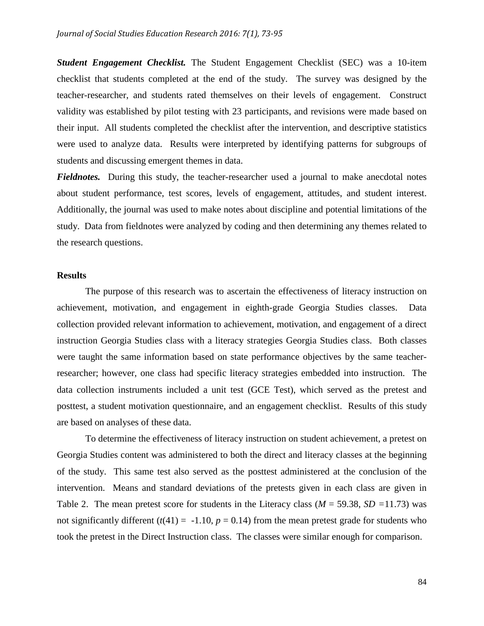*Student Engagement Checklist.* The Student Engagement Checklist (SEC) was a 10-item checklist that students completed at the end of the study. The survey was designed by the teacher-researcher, and students rated themselves on their levels of engagement. Construct validity was established by pilot testing with 23 participants, and revisions were made based on their input. All students completed the checklist after the intervention, and descriptive statistics were used to analyze data. Results were interpreted by identifying patterns for subgroups of students and discussing emergent themes in data.

*Fieldnotes.* During this study, the teacher-researcher used a journal to make anecdotal notes about student performance, test scores, levels of engagement, attitudes, and student interest. Additionally, the journal was used to make notes about discipline and potential limitations of the study. Data from fieldnotes were analyzed by coding and then determining any themes related to the research questions.

### **Results**

The purpose of this research was to ascertain the effectiveness of literacy instruction on achievement, motivation, and engagement in eighth-grade Georgia Studies classes. Data collection provided relevant information to achievement, motivation, and engagement of a direct instruction Georgia Studies class with a literacy strategies Georgia Studies class. Both classes were taught the same information based on state performance objectives by the same teacherresearcher; however, one class had specific literacy strategies embedded into instruction. The data collection instruments included a unit test (GCE Test), which served as the pretest and posttest, a student motivation questionnaire, and an engagement checklist. Results of this study are based on analyses of these data.

To determine the effectiveness of literacy instruction on student achievement, a pretest on Georgia Studies content was administered to both the direct and literacy classes at the beginning of the study. This same test also served as the posttest administered at the conclusion of the intervention. Means and standard deviations of the pretests given in each class are given in Table 2. The mean pretest score for students in the Literacy class (*M* = 59.38, *SD =*11.73) was not significantly different  $(t(41) = -1.10, p = 0.14)$  from the mean pretest grade for students who took the pretest in the Direct Instruction class. The classes were similar enough for comparison.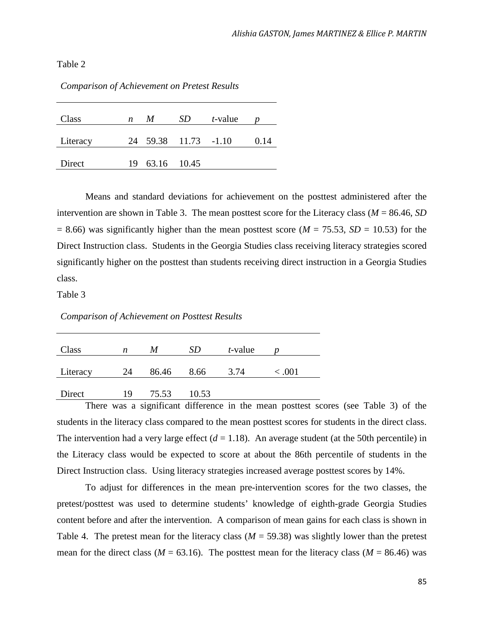Table 2

| Class    | n | M              | SD.                  | t-value |      |
|----------|---|----------------|----------------------|---------|------|
| Literacy |   |                | 24 59.38 11.73 -1.10 |         | 0.14 |
| Direct   |   | 19 63.16 10.45 |                      |         |      |

*Comparison of Achievement on Pretest Results*

Means and standard deviations for achievement on the posttest administered after the intervention are shown in Table 3. The mean posttest score for the Literacy class (*M* = 86.46, *SD*  $= 8.66$ ) was significantly higher than the mean posttest score ( $M = 75.53$ ,  $SD = 10.53$ ) for the Direct Instruction class. Students in the Georgia Studies class receiving literacy strategies scored significantly higher on the posttest than students receiving direct instruction in a Georgia Studies class.

Table 3

*Comparison of Achievement on Posttest Results*

| Class    | n  | M     | SD    | <i>t</i> -value |       |
|----------|----|-------|-------|-----------------|-------|
| Literacy | 24 | 86.46 | 8.66  | 3.74            | <.001 |
| Direct   | 19 | 75.53 | 10.53 |                 |       |

There was a significant difference in the mean posttest scores (see Table 3) of the students in the literacy class compared to the mean posttest scores for students in the direct class. The intervention had a very large effect  $(d = 1.18)$ . An average student (at the 50th percentile) in the Literacy class would be expected to score at about the 86th percentile of students in the Direct Instruction class. Using literacy strategies increased average posttest scores by 14%.

To adjust for differences in the mean pre-intervention scores for the two classes, the pretest/posttest was used to determine students' knowledge of eighth-grade Georgia Studies content before and after the intervention. A comparison of mean gains for each class is shown in Table 4. The pretest mean for the literacy class  $(M = 59.38)$  was slightly lower than the pretest mean for the direct class ( $M = 63.16$ ). The posttest mean for the literacy class ( $M = 86.46$ ) was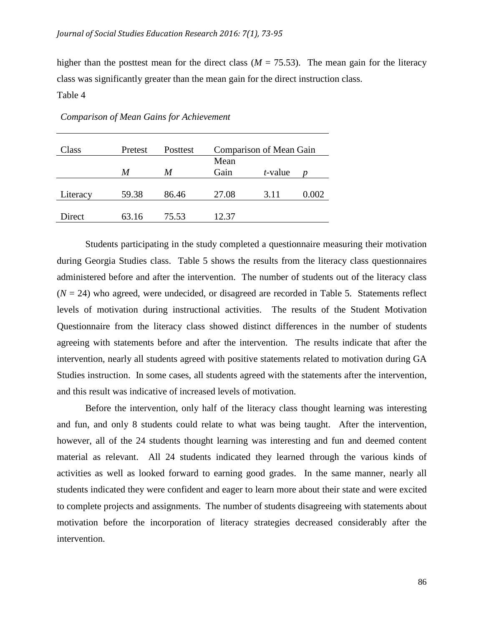higher than the posttest mean for the direct class ( $M = 75.53$ ). The mean gain for the literacy class was significantly greater than the mean gain for the direct instruction class.

Table 4

| Class    | Pretest | <b>Posttest</b> | Comparison of Mean Gain |                 |       |
|----------|---------|-----------------|-------------------------|-----------------|-------|
|          |         |                 | Mean                    |                 |       |
|          | M       | M               | Gain                    | <i>t</i> -value |       |
|          |         |                 |                         |                 |       |
| Literacy | 59.38   | 86.46           | 27.08                   | 3.11            | 0.002 |
|          |         |                 |                         |                 |       |
| Direct   | 63.16   | 75.53           | 12.37                   |                 |       |

*Comparison of Mean Gains for Achievement*

Students participating in the study completed a questionnaire measuring their motivation during Georgia Studies class. Table 5 shows the results from the literacy class questionnaires administered before and after the intervention. The number of students out of the literacy class  $(N = 24)$  who agreed, were undecided, or disagreed are recorded in Table 5. Statements reflect levels of motivation during instructional activities. The results of the Student Motivation Questionnaire from the literacy class showed distinct differences in the number of students agreeing with statements before and after the intervention. The results indicate that after the intervention, nearly all students agreed with positive statements related to motivation during GA Studies instruction. In some cases, all students agreed with the statements after the intervention, and this result was indicative of increased levels of motivation.

Before the intervention, only half of the literacy class thought learning was interesting and fun, and only 8 students could relate to what was being taught. After the intervention, however, all of the 24 students thought learning was interesting and fun and deemed content material as relevant. All 24 students indicated they learned through the various kinds of activities as well as looked forward to earning good grades. In the same manner, nearly all students indicated they were confident and eager to learn more about their state and were excited to complete projects and assignments. The number of students disagreeing with statements about motivation before the incorporation of literacy strategies decreased considerably after the intervention.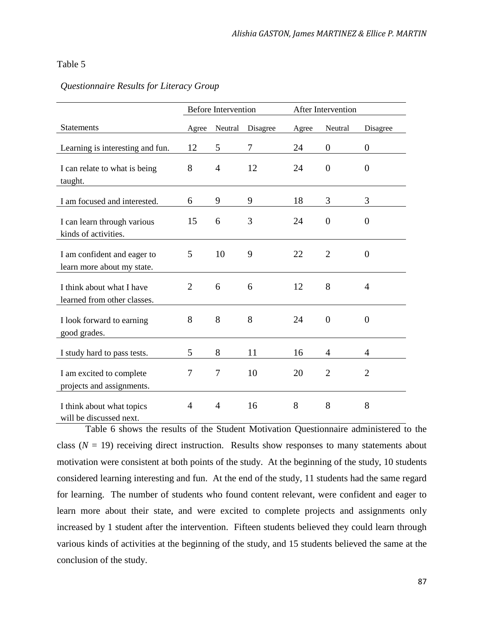#### Table 5

|                                                           | <b>Before Intervention</b> |                | After Intervention |       |                |                |
|-----------------------------------------------------------|----------------------------|----------------|--------------------|-------|----------------|----------------|
| <b>Statements</b>                                         | Agree                      | Neutral        | Disagree           | Agree | Neutral        | Disagree       |
| Learning is interesting and fun.                          | 12                         | 5              | 7                  | 24    | $\theta$       | $\theta$       |
| I can relate to what is being<br>taught.                  | 8                          | $\overline{4}$ | 12                 | 24    | $\overline{0}$ | $\theta$       |
| I am focused and interested.                              | 6                          | 9              | 9                  | 18    | 3              | 3              |
| I can learn through various<br>kinds of activities.       | 15                         | 6              | 3                  | 24    | $\overline{0}$ | $\overline{0}$ |
| I am confident and eager to<br>learn more about my state. | 5                          | 10             | 9                  | 22    | $\overline{2}$ | $\theta$       |
| I think about what I have<br>learned from other classes.  | $\overline{2}$             | 6              | 6                  | 12    | 8              | $\overline{4}$ |
| I look forward to earning<br>good grades.                 | 8                          | 8              | 8                  | 24    | $\overline{0}$ | $\overline{0}$ |
| I study hard to pass tests.                               | 5                          | 8              | 11                 | 16    | 4              | 4              |
| I am excited to complete<br>projects and assignments.     | 7                          | 7              | 10                 | 20    | $\overline{2}$ | $\overline{2}$ |
| I think about what topics<br>will be discussed next.      | 4                          | $\overline{4}$ | 16                 | 8     | 8              | 8              |

#### *Questionnaire Results for Literacy Group*

Table 6 shows the results of the Student Motivation Questionnaire administered to the class  $(N = 19)$  receiving direct instruction. Results show responses to many statements about motivation were consistent at both points of the study. At the beginning of the study, 10 students considered learning interesting and fun. At the end of the study, 11 students had the same regard for learning. The number of students who found content relevant, were confident and eager to learn more about their state, and were excited to complete projects and assignments only increased by 1 student after the intervention. Fifteen students believed they could learn through various kinds of activities at the beginning of the study, and 15 students believed the same at the conclusion of the study.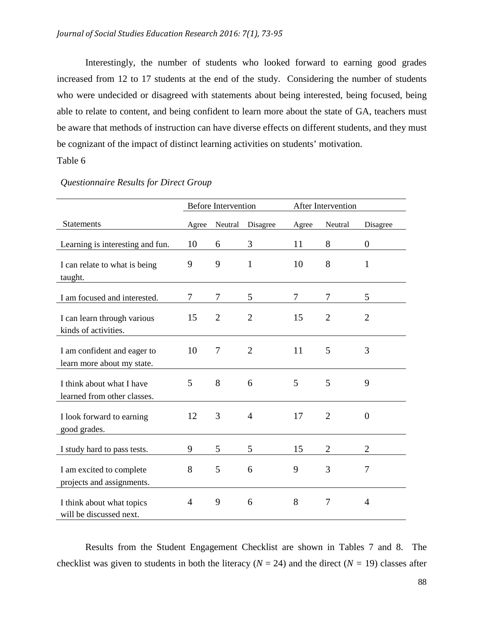Interestingly, the number of students who looked forward to earning good grades increased from 12 to 17 students at the end of the study. Considering the number of students who were undecided or disagreed with statements about being interested, being focused, being able to relate to content, and being confident to learn more about the state of GA, teachers must be aware that methods of instruction can have diverse effects on different students, and they must be cognizant of the impact of distinct learning activities on students' motivation.

### Table 6

|                                                           | <b>Before Intervention</b> |                | After Intervention |       |                |                |
|-----------------------------------------------------------|----------------------------|----------------|--------------------|-------|----------------|----------------|
| <b>Statements</b>                                         | Agree                      | Neutral        | Disagree           | Agree | Neutral        | Disagree       |
| Learning is interesting and fun.                          | 10                         | 6              | 3                  | 11    | 8              | $\theta$       |
| I can relate to what is being<br>taught.                  | 9                          | 9              | $\mathbf{1}$       | 10    | 8              | $\mathbf{1}$   |
| I am focused and interested.                              | 7                          | 7              | 5                  | 7     | 7              | 5              |
| I can learn through various<br>kinds of activities.       | 15                         | $\overline{2}$ | $\overline{2}$     | 15    | $\overline{2}$ | $\overline{2}$ |
| I am confident and eager to<br>learn more about my state. | 10                         | $\overline{7}$ | $\overline{2}$     | 11    | 5              | 3              |
| I think about what I have<br>learned from other classes.  | 5                          | 8              | 6                  | 5     | 5              | 9              |
| I look forward to earning<br>good grades.                 | 12                         | 3              | $\overline{4}$     | 17    | $\overline{2}$ | $\overline{0}$ |
| I study hard to pass tests.                               | 9                          | 5              | 5                  | 15    | $\overline{2}$ | $\overline{2}$ |
| I am excited to complete<br>projects and assignments.     | 8                          | 5              | 6                  | 9     | 3              | $\overline{7}$ |
| I think about what topics<br>will be discussed next.      | 4                          | 9              | 6                  | 8     | 7              | $\overline{4}$ |

## *Questionnaire Results for Direct Group*

Results from the Student Engagement Checklist are shown in Tables 7 and 8. The checklist was given to students in both the literacy ( $N = 24$ ) and the direct ( $N = 19$ ) classes after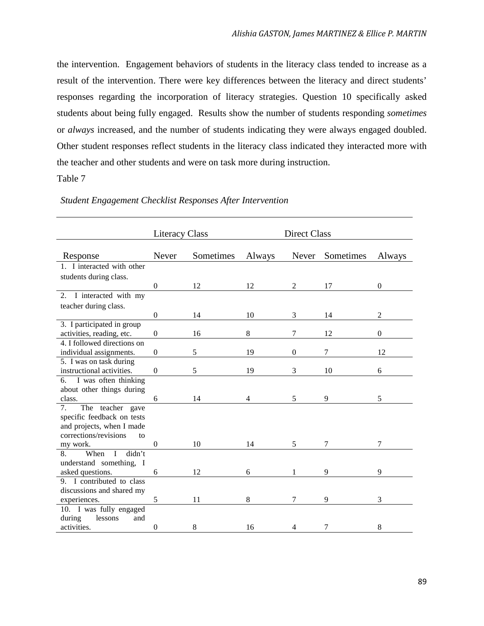the intervention. Engagement behaviors of students in the literacy class tended to increase as a result of the intervention. There were key differences between the literacy and direct students' responses regarding the incorporation of literacy strategies. Question 10 specifically asked students about being fully engaged. Results show the number of students responding *sometimes* or *always* increased, and the number of students indicating they were always engaged doubled. Other student responses reflect students in the literacy class indicated they interacted more with the teacher and other students and were on task more during instruction.

### Table 7

|                                    | <b>Literacy Class</b> |           | <b>Direct Class</b> |                |           |                  |
|------------------------------------|-----------------------|-----------|---------------------|----------------|-----------|------------------|
| Response                           | Never                 | Sometimes | Always              | Never          | Sometimes | Always           |
| 1. I interacted with other         |                       |           |                     |                |           |                  |
| students during class.             |                       |           |                     |                |           |                  |
|                                    | $\theta$              | 12        | 12                  | 2              | 17        | $\overline{0}$   |
| 2. I interacted with my            |                       |           |                     |                |           |                  |
| teacher during class.              |                       |           |                     |                |           |                  |
|                                    | $\boldsymbol{0}$      | 14        | 10                  | 3              | 14        | $\overline{2}$   |
| 3. I participated in group         |                       |           |                     |                |           |                  |
| activities, reading, etc.          | $\mathbf{0}$          | 16        | 8                   | 7              | 12        | $\boldsymbol{0}$ |
| 4. I followed directions on        |                       |           |                     |                |           |                  |
| individual assignments.            | $\boldsymbol{0}$      | 5         | 19                  | $\overline{0}$ | 7         | 12               |
| 5. I was on task during            |                       |           |                     |                |           |                  |
| instructional activities.          | $\boldsymbol{0}$      | 5         | 19                  | 3              | 10        | 6                |
| 6. I was often thinking            |                       |           |                     |                |           |                  |
| about other things during          |                       |           |                     |                |           |                  |
| class.                             | 6                     | 14        | 4                   | 5              | 9         | 5                |
| The teacher gave<br>7 <sub>1</sub> |                       |           |                     |                |           |                  |
| specific feedback on tests         |                       |           |                     |                |           |                  |
| and projects, when I made          |                       |           |                     |                |           |                  |
| corrections/revisions<br>to        |                       |           |                     |                |           |                  |
| my work.                           | $\mathbf{0}$          | 10        | 14                  | 5              | 7         | 7                |
| didn't<br>8.<br>$\bf{I}$<br>When   |                       |           |                     |                |           |                  |
| understand something, I            |                       |           |                     |                |           |                  |
| asked questions.                   | 6                     | 12        | 6                   | 1              | 9         | 9                |
| 9. I contributed to class          |                       |           |                     |                |           |                  |
| discussions and shared my          |                       |           |                     |                |           |                  |
| experiences.                       | 5                     | 11        | 8                   | 7              | 9         | 3                |
| 10. I was fully engaged            |                       |           |                     |                |           |                  |
| lessons<br>during<br>and           |                       |           |                     |                |           |                  |
| activities.                        | $\boldsymbol{0}$      | 8         | 16                  | $\overline{4}$ | 7         | 8                |

#### *Student Engagement Checklist Responses After Intervention*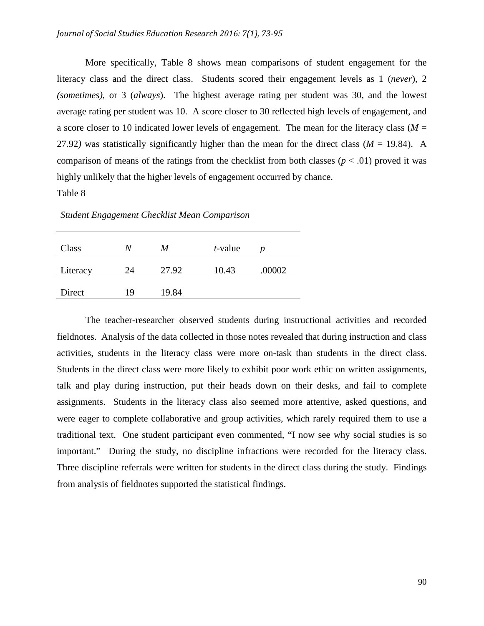More specifically, Table 8 shows mean comparisons of student engagement for the literacy class and the direct class. Students scored their engagement levels as 1 (*never*), 2 *(sometimes)*, or 3 (*always*). The highest average rating per student was 30, and the lowest average rating per student was 10. A score closer to 30 reflected high levels of engagement, and a score closer to 10 indicated lower levels of engagement. The mean for the literacy class ( $M =$ 27.92) was statistically significantly higher than the mean for the direct class ( $M = 19.84$ ). A comparison of means of the ratings from the checklist from both classes ( $p < .01$ ) proved it was highly unlikely that the higher levels of engagement occurred by chance.

Table 8

*Student Engagement Checklist Mean Comparison*

| Class    |    | M     | $t$ -value |        |
|----------|----|-------|------------|--------|
| Literacy | 24 | 27.92 | 10.43      | .00002 |
| Direct   | 19 | 19.84 |            |        |

The teacher-researcher observed students during instructional activities and recorded fieldnotes. Analysis of the data collected in those notes revealed that during instruction and class activities, students in the literacy class were more on-task than students in the direct class. Students in the direct class were more likely to exhibit poor work ethic on written assignments, talk and play during instruction, put their heads down on their desks, and fail to complete assignments. Students in the literacy class also seemed more attentive, asked questions, and were eager to complete collaborative and group activities, which rarely required them to use a traditional text. One student participant even commented, "I now see why social studies is so important." During the study, no discipline infractions were recorded for the literacy class. Three discipline referrals were written for students in the direct class during the study. Findings from analysis of fieldnotes supported the statistical findings.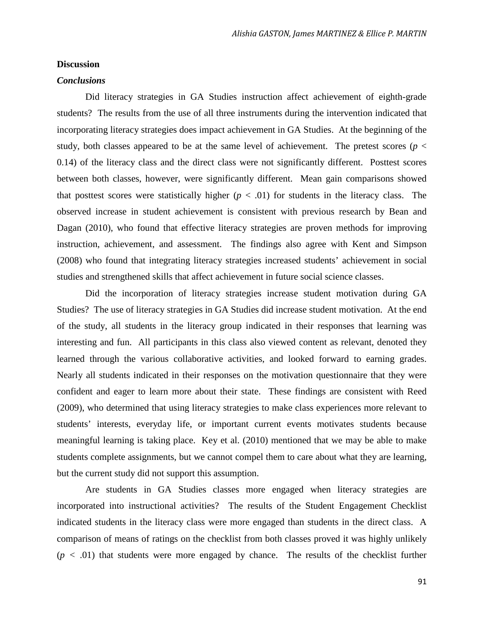#### **Discussion**

#### *Conclusions*

Did literacy strategies in GA Studies instruction affect achievement of eighth-grade students? The results from the use of all three instruments during the intervention indicated that incorporating literacy strategies does impact achievement in GA Studies. At the beginning of the study, both classes appeared to be at the same level of achievement. The pretest scores ( $p <$ 0.14) of the literacy class and the direct class were not significantly different. Posttest scores between both classes, however, were significantly different. Mean gain comparisons showed that posttest scores were statistically higher  $(p < .01)$  for students in the literacy class. The observed increase in student achievement is consistent with previous research by Bean and Dagan (2010), who found that effective literacy strategies are proven methods for improving instruction, achievement, and assessment. The findings also agree with Kent and Simpson (2008) who found that integrating literacy strategies increased students' achievement in social studies and strengthened skills that affect achievement in future social science classes.

Did the incorporation of literacy strategies increase student motivation during GA Studies? The use of literacy strategies in GA Studies did increase student motivation. At the end of the study, all students in the literacy group indicated in their responses that learning was interesting and fun. All participants in this class also viewed content as relevant, denoted they learned through the various collaborative activities, and looked forward to earning grades. Nearly all students indicated in their responses on the motivation questionnaire that they were confident and eager to learn more about their state. These findings are consistent with Reed (2009), who determined that using literacy strategies to make class experiences more relevant to students' interests, everyday life, or important current events motivates students because meaningful learning is taking place. Key et al. (2010) mentioned that we may be able to make students complete assignments, but we cannot compel them to care about what they are learning, but the current study did not support this assumption.

Are students in GA Studies classes more engaged when literacy strategies are incorporated into instructional activities? The results of the Student Engagement Checklist indicated students in the literacy class were more engaged than students in the direct class. A comparison of means of ratings on the checklist from both classes proved it was highly unlikely  $(p < .01)$  that students were more engaged by chance. The results of the checklist further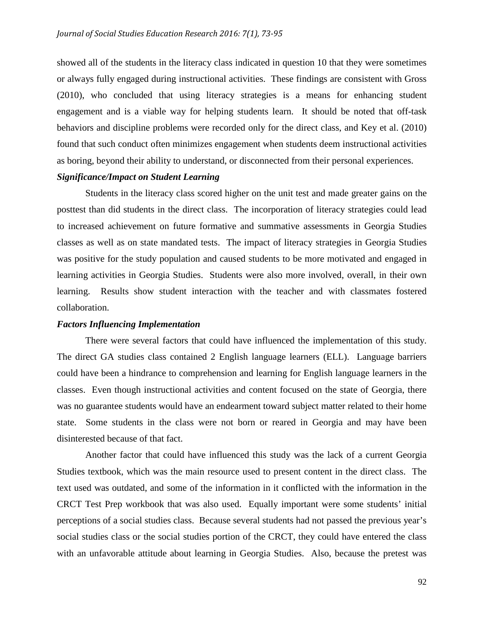showed all of the students in the literacy class indicated in question 10 that they were sometimes or always fully engaged during instructional activities. These findings are consistent with Gross (2010), who concluded that using literacy strategies is a means for enhancing student engagement and is a viable way for helping students learn. It should be noted that off-task behaviors and discipline problems were recorded only for the direct class, and Key et al. (2010) found that such conduct often minimizes engagement when students deem instructional activities as boring, beyond their ability to understand, or disconnected from their personal experiences.

### *Significance/Impact on Student Learning*

Students in the literacy class scored higher on the unit test and made greater gains on the posttest than did students in the direct class. The incorporation of literacy strategies could lead to increased achievement on future formative and summative assessments in Georgia Studies classes as well as on state mandated tests. The impact of literacy strategies in Georgia Studies was positive for the study population and caused students to be more motivated and engaged in learning activities in Georgia Studies. Students were also more involved, overall, in their own learning. Results show student interaction with the teacher and with classmates fostered collaboration.

#### *Factors Influencing Implementation*

There were several factors that could have influenced the implementation of this study. The direct GA studies class contained 2 English language learners (ELL). Language barriers could have been a hindrance to comprehension and learning for English language learners in the classes. Even though instructional activities and content focused on the state of Georgia, there was no guarantee students would have an endearment toward subject matter related to their home state. Some students in the class were not born or reared in Georgia and may have been disinterested because of that fact.

Another factor that could have influenced this study was the lack of a current Georgia Studies textbook, which was the main resource used to present content in the direct class. The text used was outdated, and some of the information in it conflicted with the information in the CRCT Test Prep workbook that was also used. Equally important were some students' initial perceptions of a social studies class. Because several students had not passed the previous year's social studies class or the social studies portion of the CRCT, they could have entered the class with an unfavorable attitude about learning in Georgia Studies. Also, because the pretest was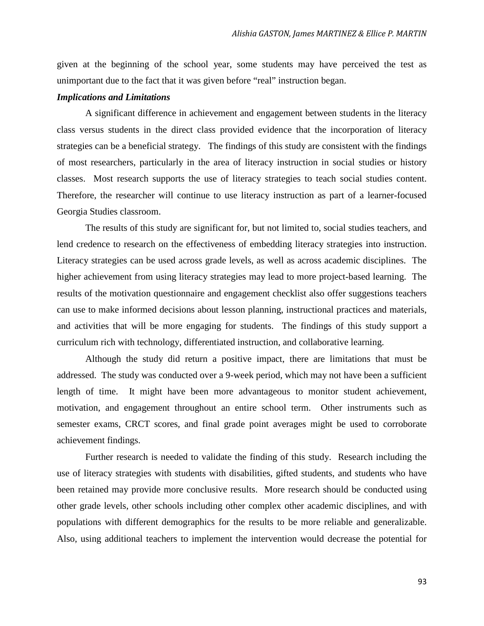given at the beginning of the school year, some students may have perceived the test as unimportant due to the fact that it was given before "real" instruction began.

#### *Implications and Limitations*

A significant difference in achievement and engagement between students in the literacy class versus students in the direct class provided evidence that the incorporation of literacy strategies can be a beneficial strategy. The findings of this study are consistent with the findings of most researchers, particularly in the area of literacy instruction in social studies or history classes. Most research supports the use of literacy strategies to teach social studies content. Therefore, the researcher will continue to use literacy instruction as part of a learner-focused Georgia Studies classroom.

The results of this study are significant for, but not limited to, social studies teachers, and lend credence to research on the effectiveness of embedding literacy strategies into instruction. Literacy strategies can be used across grade levels, as well as across academic disciplines. The higher achievement from using literacy strategies may lead to more project-based learning. The results of the motivation questionnaire and engagement checklist also offer suggestions teachers can use to make informed decisions about lesson planning, instructional practices and materials, and activities that will be more engaging for students. The findings of this study support a curriculum rich with technology, differentiated instruction, and collaborative learning.

Although the study did return a positive impact, there are limitations that must be addressed. The study was conducted over a 9-week period, which may not have been a sufficient length of time. It might have been more advantageous to monitor student achievement, motivation, and engagement throughout an entire school term. Other instruments such as semester exams, CRCT scores, and final grade point averages might be used to corroborate achievement findings.

Further research is needed to validate the finding of this study. Research including the use of literacy strategies with students with disabilities, gifted students, and students who have been retained may provide more conclusive results. More research should be conducted using other grade levels, other schools including other complex other academic disciplines, and with populations with different demographics for the results to be more reliable and generalizable. Also, using additional teachers to implement the intervention would decrease the potential for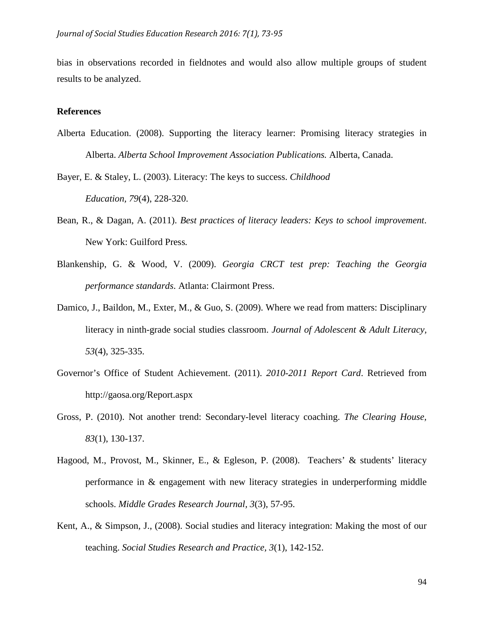bias in observations recorded in fieldnotes and would also allow multiple groups of student results to be analyzed.

#### **References**

Alberta Education. (2008). Supporting the literacy learner: Promising literacy strategies in Alberta. *Alberta School Improvement Association Publications.* Alberta, Canada.

Bayer, E. & Staley, L. (2003). Literacy: The keys to success. *Childhood Education, 79*(4), 228-320.

- Bean, R., & Dagan, A. (2011). *Best practices of literacy leaders: Keys to school improvement*. New York: Guilford Press*.*
- Blankenship, G. & Wood, V. (2009). *Georgia CRCT test prep: Teaching the Georgia performance standards*. Atlanta: Clairmont Press.
- Damico, J., Baildon, M., Exter, M., & Guo, S. (2009). Where we read from matters: Disciplinary literacy in ninth-grade social studies classroom. *Journal of Adolescent & Adult Literacy, 53*(4), 325-335.
- Governor's Office of Student Achievement. (2011). *2010-2011 Report Card*. Retrieved from http://gaosa.org/Report.aspx
- Gross, P. (2010). Not another trend: Secondary-level literacy coaching. *The Clearing House, 83*(1), 130-137.
- Hagood, M., Provost, M., Skinner, E., & Egleson, P. (2008). Teachers' & students' literacy performance in & engagement with new literacy strategies in underperforming middle schools. *Middle Grades Research Journal, 3*(3), 57-95.
- Kent, A., & Simpson, J., (2008). Social studies and literacy integration: Making the most of our teaching. *Social Studies Research and Practice, 3*(1), 142-152.